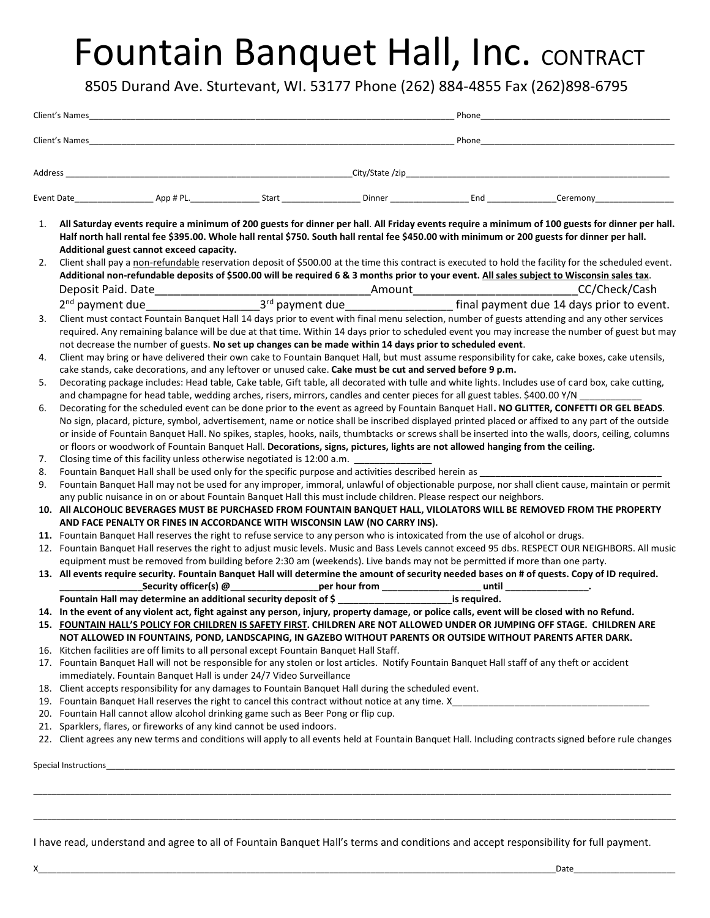## Fountain Banquet Hall, Inc. CONTRACT

8505 Durand Ave. Sturtevant, WI. 53177 Phone (262) 884-4855 Fax (262)898-6795

|         |                                                                                                                                                                                                                                                                         |  |  |  | Phone |                                                                                                                                                       |  |
|---------|-------------------------------------------------------------------------------------------------------------------------------------------------------------------------------------------------------------------------------------------------------------------------|--|--|--|-------|-------------------------------------------------------------------------------------------------------------------------------------------------------|--|
| Address |                                                                                                                                                                                                                                                                         |  |  |  |       | City/State/zip                                                                                                                                        |  |
|         |                                                                                                                                                                                                                                                                         |  |  |  |       |                                                                                                                                                       |  |
| 1.      |                                                                                                                                                                                                                                                                         |  |  |  |       | All Saturday events require a minimum of 200 guests for dinner per hall. All Friday events require a minimum of 100 guests for dinner per hall.       |  |
|         | Additional guest cannot exceed capacity.                                                                                                                                                                                                                                |  |  |  |       | Half north hall rental fee \$395.00. Whole hall rental \$750. South hall rental fee \$450.00 with minimum or 200 guests for dinner per hall.          |  |
| 2.      |                                                                                                                                                                                                                                                                         |  |  |  |       | Client shall pay a non-refundable reservation deposit of \$500.00 at the time this contract is executed to hold the facility for the scheduled event. |  |
|         |                                                                                                                                                                                                                                                                         |  |  |  |       | Additional non-refundable deposits of \$500.00 will be required 6 & 3 months prior to your event. All sales subject to Wisconsin sales tax.           |  |
|         |                                                                                                                                                                                                                                                                         |  |  |  |       |                                                                                                                                                       |  |
|         |                                                                                                                                                                                                                                                                         |  |  |  |       |                                                                                                                                                       |  |
| 3.      |                                                                                                                                                                                                                                                                         |  |  |  |       | Client must contact Fountain Banquet Hall 14 days prior to event with final menu selection, number of guests attending and any other services         |  |
|         |                                                                                                                                                                                                                                                                         |  |  |  |       | required. Any remaining balance will be due at that time. Within 14 days prior to scheduled event you may increase the number of guest but may        |  |
| 4.      | not decrease the number of guests. No set up changes can be made within 14 days prior to scheduled event.<br>Client may bring or have delivered their own cake to Fountain Banquet Hall, but must assume responsibility for cake, cake boxes, cake utensils,            |  |  |  |       |                                                                                                                                                       |  |
|         | cake stands, cake decorations, and any leftover or unused cake. Cake must be cut and served before 9 p.m.                                                                                                                                                               |  |  |  |       |                                                                                                                                                       |  |
| 5.      | Decorating package includes: Head table, Cake table, Gift table, all decorated with tulle and white lights. Includes use of card box, cake cutting,                                                                                                                     |  |  |  |       |                                                                                                                                                       |  |
|         |                                                                                                                                                                                                                                                                         |  |  |  |       |                                                                                                                                                       |  |
| 6.      | and champagne for head table, wedding arches, risers, mirrors, candles and center pieces for all guest tables. \$400.00 Y/N<br>Decorating for the scheduled event can be done prior to the event as agreed by Fountain Banquet Hall. NO GLITTER, CONFETTI OR GEL BEADS. |  |  |  |       |                                                                                                                                                       |  |
|         | No sign, placard, picture, symbol, advertisement, name or notice shall be inscribed displayed printed placed or affixed to any part of the outside                                                                                                                      |  |  |  |       |                                                                                                                                                       |  |
|         | or inside of Fountain Banquet Hall. No spikes, staples, hooks, nails, thumbtacks or screws shall be inserted into the walls, doors, ceiling, columns                                                                                                                    |  |  |  |       |                                                                                                                                                       |  |
|         | or floors or woodwork of Fountain Banquet Hall. Decorations, signs, pictures, lights are not allowed hanging from the ceiling.                                                                                                                                          |  |  |  |       |                                                                                                                                                       |  |
| 7.      | Closing time of this facility unless otherwise negotiated is 12:00 a.m.                                                                                                                                                                                                 |  |  |  |       |                                                                                                                                                       |  |
| 8.      | Fountain Banquet Hall shall be used only for the specific purpose and activities described herein as                                                                                                                                                                    |  |  |  |       |                                                                                                                                                       |  |
| 9.      |                                                                                                                                                                                                                                                                         |  |  |  |       | Fountain Banquet Hall may not be used for any improper, immoral, unlawful of objectionable purpose, nor shall client cause, maintain or permit        |  |
|         | any public nuisance in on or about Fountain Banquet Hall this must include children. Please respect our neighbors.                                                                                                                                                      |  |  |  |       |                                                                                                                                                       |  |
|         | 10. All ALCOHOLIC BEVERAGES MUST BE PURCHASED FROM FOUNTAIN BANQUET HALL, VILOLATORS WILL BE REMOVED FROM THE PROPERTY                                                                                                                                                  |  |  |  |       |                                                                                                                                                       |  |
|         | AND FACE PENALTY OR FINES IN ACCORDANCE WITH WISCONSIN LAW (NO CARRY INS).                                                                                                                                                                                              |  |  |  |       |                                                                                                                                                       |  |
|         | 11. Fountain Banquet Hall reserves the right to refuse service to any person who is intoxicated from the use of alcohol or drugs.                                                                                                                                       |  |  |  |       |                                                                                                                                                       |  |
|         |                                                                                                                                                                                                                                                                         |  |  |  |       | 12. Fountain Banquet Hall reserves the right to adjust music levels. Music and Bass Levels cannot exceed 95 dbs. RESPECT OUR NEIGHBORS. All music     |  |
|         | equipment must be removed from building before 2:30 am (weekends). Live bands may not be permitted if more than one party.                                                                                                                                              |  |  |  |       |                                                                                                                                                       |  |
|         |                                                                                                                                                                                                                                                                         |  |  |  |       | 13. All events require security. Fountain Banquet Hall will determine the amount of security needed bases on # of quests. Copy of ID required.        |  |
|         |                                                                                                                                                                                                                                                                         |  |  |  |       |                                                                                                                                                       |  |
|         | Fountain Hall may determine an additional security deposit of \$ ___________________________is required.                                                                                                                                                                |  |  |  |       |                                                                                                                                                       |  |
|         |                                                                                                                                                                                                                                                                         |  |  |  |       | 14. In the event of any violent act, fight against any person, injury, property damage, or police calls, event will be closed with no Refund.         |  |
|         | 15. FOUNTAIN HALL'S POLICY FOR CHILDREN IS SAFETY FIRST. CHILDREN ARE NOT ALLOWED UNDER OR JUMPING OFF STAGE. CHILDREN ARE<br>NOT ALLOWED IN FOUNTAINS, POND, LANDSCAPING, IN GAZEBO WITHOUT PARENTS OR OUTSIDE WITHOUT PARENTS AFTER DARK.                             |  |  |  |       |                                                                                                                                                       |  |
|         |                                                                                                                                                                                                                                                                         |  |  |  |       |                                                                                                                                                       |  |
|         | 16. Kitchen facilities are off limits to all personal except Fountain Banquet Hall Staff.                                                                                                                                                                               |  |  |  |       | 17. Fountain Banquet Hall will not be responsible for any stolen or lost articles. Notify Fountain Banquet Hall staff of any theft or accident        |  |
|         | immediately. Fountain Banquet Hall is under 24/7 Video Surveillance                                                                                                                                                                                                     |  |  |  |       |                                                                                                                                                       |  |
|         | 18. Client accepts responsibility for any damages to Fountain Banquet Hall during the scheduled event.                                                                                                                                                                  |  |  |  |       |                                                                                                                                                       |  |
|         |                                                                                                                                                                                                                                                                         |  |  |  |       |                                                                                                                                                       |  |
|         | 20. Fountain Hall cannot allow alcohol drinking game such as Beer Pong or flip cup.                                                                                                                                                                                     |  |  |  |       |                                                                                                                                                       |  |
|         | 21. Sparklers, flares, or fireworks of any kind cannot be used indoors.                                                                                                                                                                                                 |  |  |  |       |                                                                                                                                                       |  |
|         |                                                                                                                                                                                                                                                                         |  |  |  |       | 22. Client agrees any new terms and conditions will apply to all events held at Fountain Banquet Hall. Including contracts signed before rule changes |  |
|         |                                                                                                                                                                                                                                                                         |  |  |  |       |                                                                                                                                                       |  |
|         | Special Instructions                                                                                                                                                                                                                                                    |  |  |  |       |                                                                                                                                                       |  |
|         |                                                                                                                                                                                                                                                                         |  |  |  |       |                                                                                                                                                       |  |

I have read, understand and agree to all of Fountain Banquet Hall's terms and conditions and accept responsibility for full payment.

\_\_\_\_\_\_\_\_\_\_\_\_\_\_\_\_\_\_\_\_\_\_\_\_\_\_\_\_\_\_\_\_\_\_\_\_\_\_\_\_\_\_\_\_\_\_\_\_\_\_\_\_\_\_\_\_\_\_\_\_\_\_\_\_\_\_\_\_\_\_\_\_\_\_\_\_\_\_\_\_\_\_\_\_\_\_\_\_\_\_\_\_\_\_\_\_\_\_\_\_\_\_\_\_\_\_\_\_\_\_\_\_\_\_\_\_\_\_\_\_\_\_\_\_\_\_\_\_\_\_\_\_\_\_\_\_\_\_\_